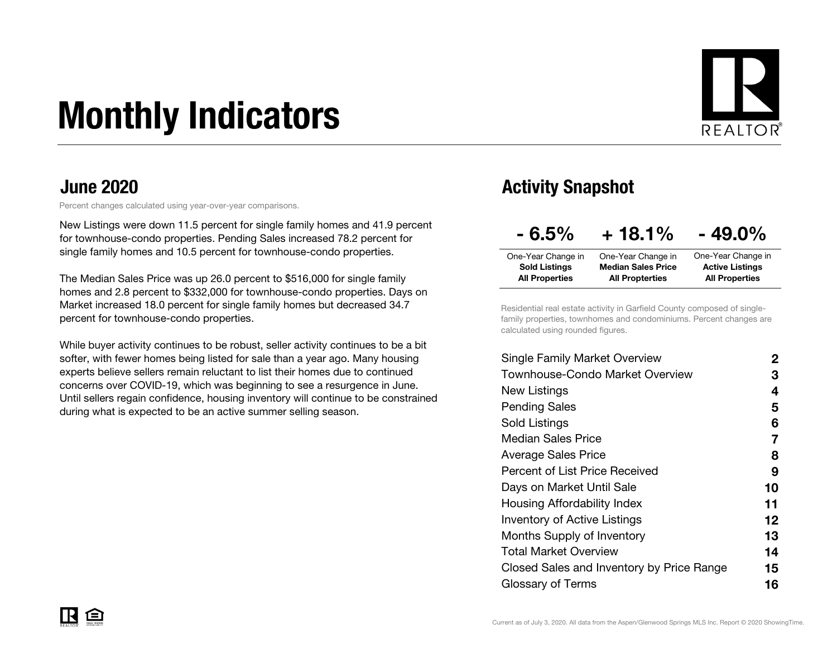# Monthly Indicators



### June 2020

Percent changes calculated using year-over-year comparisons.

New Listings were down 11.5 percent for single family homes and 41.9 percent for townhouse-condo properties. Pending Sales increased 78.2 percent for single family homes and 10.5 percent for townhouse-condo properties.

The Median Sales Price was up 26.0 percent to \$516,000 for single family homes and 2.8 percent to \$332,000 for townhouse-condo properties. Days on Market increased 18.0 percent for single family homes but decreased 34.7 percent for townhouse-condo properties.

While buyer activity continues to be robust, seller activity continues to be a bit softer, with fewer homes being listed for sale than a year ago. Many housing experts believe sellers remain reluctant to list their homes due to continued concerns over COVID-19, which was beginning to see a resurgence in June. Until sellers regain confidence, housing inventory will continue to be constrained during what is expected to be an active summer selling season.

### Activity Snapshot

| $-6.5\%$              | $+18.1%$                  | $-49.0\%$              |
|-----------------------|---------------------------|------------------------|
| One-Year Change in    | One-Year Change in        | One-Year Change in     |
| <b>Sold Listings</b>  | <b>Median Sales Price</b> | <b>Active Listings</b> |
| <b>All Properties</b> | <b>All Propterties</b>    | <b>All Properties</b>  |

Residential real estate activity in Garfield County composed of singlefamily properties, townhomes and condominiums. Percent changes are calculated using rounded figures.

| Single Family Market Overview             | 2  |
|-------------------------------------------|----|
| Townhouse-Condo Market Overview           | З  |
| New Listings                              | 4  |
| Pending Sales                             | 5  |
| Sold Listings                             | 6  |
| <b>Median Sales Price</b>                 | 7  |
| Average Sales Price                       | 8  |
| Percent of List Price Received            | 9  |
| Days on Market Until Sale                 | 10 |
| Housing Affordability Index               | 11 |
| <b>Inventory of Active Listings</b>       | 12 |
| <b>Months Supply of Inventory</b>         | 13 |
| Total Market Overview                     | 14 |
| Closed Sales and Inventory by Price Range | 15 |
| Glossary of Terms                         | 16 |
|                                           |    |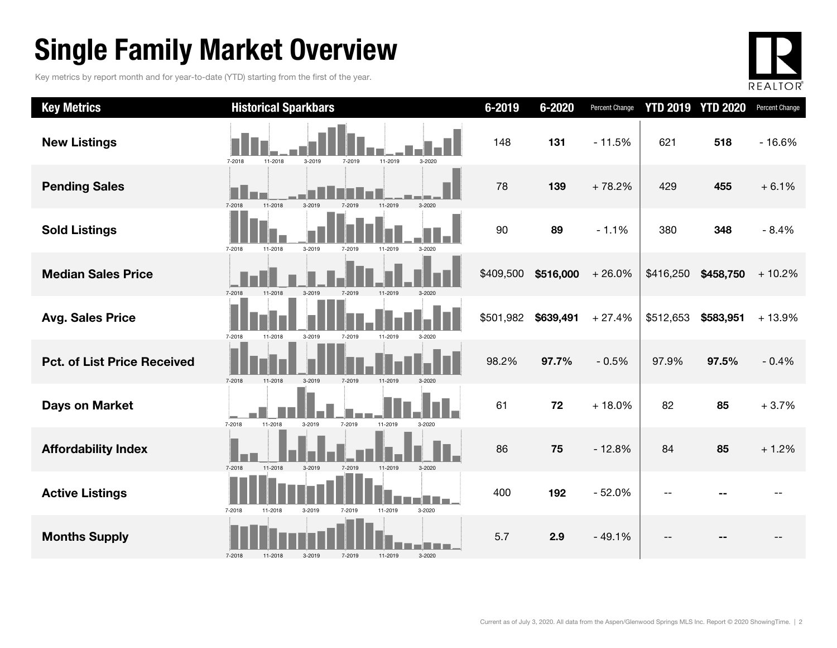# Single Family Market Overview

Key metrics by report month and for year-to-date (YTD) starting from the first of the year.



| <b>Key Metrics</b>                 | <b>Historical Sparkbars</b>                                        | 6-2019    | 6-2020    | Percent Change | <b>YTD 2019</b> | <b>YTD 2020</b> | Percent Change |
|------------------------------------|--------------------------------------------------------------------|-----------|-----------|----------------|-----------------|-----------------|----------------|
| <b>New Listings</b>                | 11-2019<br>7-2018<br>11-2018<br>3-2019<br>7-2019<br>3-2020         | 148       | 131       | $-11.5%$       | 621             | 518             | $-16.6%$       |
| <b>Pending Sales</b>               | 7-2018<br>11-2018<br>$3 - 2019$<br>11-2019<br>$3 - 2020$<br>7.2010 | 78        | 139       | $+78.2%$       | 429             | 455             | $+6.1%$        |
| <b>Sold Listings</b>               | 7-2018<br>11-2018<br>3-2019<br>7-2019<br>11-2019<br>3-2020         | 90        | 89        | $-1.1%$        | 380             | 348             | $-8.4%$        |
| <b>Median Sales Price</b>          | 7-2018<br>11-2018<br>3-2019<br>7-2019<br>11-2019                   | \$409,500 | \$516,000 | $+26.0%$       | \$416,250       | \$458,750       | $+10.2%$       |
| <b>Avg. Sales Price</b>            | 7-2018<br>11-2018<br>3-2019<br>7-2019<br>11-2019<br>3-2020         | \$501,982 | \$639,491 | $+27.4%$       | \$512,653       | \$583,951       | $+13.9%$       |
| <b>Pct. of List Price Received</b> | 7-2018<br>3-2019<br>11-2018<br>7-2019<br>11-2019<br>$3 - 2020$     | 98.2%     | 97.7%     | $-0.5%$        | 97.9%           | 97.5%           | $-0.4%$        |
| <b>Days on Market</b>              | 7-2018<br>11-2018<br>3-2019<br>7-2019<br>11-2019<br>3-2020         | 61        | 72        | $+18.0%$       | 82              | 85              | $+3.7%$        |
| <b>Affordability Index</b>         | 7-2018<br>11-2018<br>3-2019<br>7-2019<br>11-2019<br>3-2020         | 86        | 75        | $-12.8%$       | 84              | 85              | $+1.2%$        |
| <b>Active Listings</b>             | 7-2018<br>3-2019<br>11-2019<br>3-2020<br>11-2018<br>7-2019         | 400       | 192       | $-52.0%$       |                 |                 |                |
| <b>Months Supply</b>               | 7-2018<br>11-2019<br>3-2020<br>11-2018<br>3-2019<br>7-2019         | 5.7       | 2.9       | $-49.1%$       |                 |                 |                |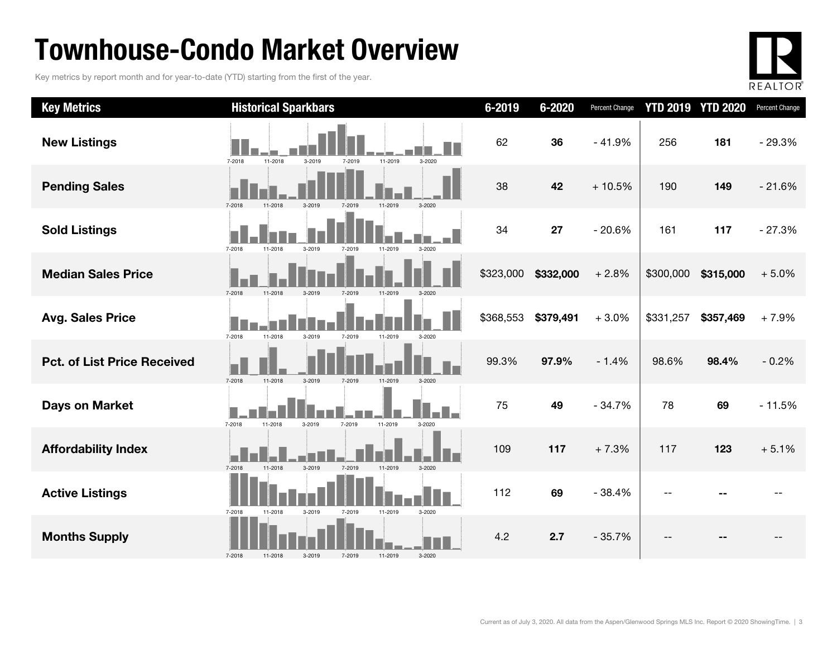# Townhouse-Condo Market Overview

Key metrics by report month and for year-to-date (YTD) starting from the first of the year.



| <b>Key Metrics</b>                 | <b>Historical Sparkbars</b>                                        | 6-2019    | 6-2020    | Percent Change | <b>YTD 2019</b> | <b>YTD 2020</b> | Percent Change |
|------------------------------------|--------------------------------------------------------------------|-----------|-----------|----------------|-----------------|-----------------|----------------|
| <b>New Listings</b>                | 7-2018<br>11-2018<br>3-2019<br>7-2019<br>11-2019<br>3-2020         | 62        | 36        | $-41.9%$       | 256             | 181             | $-29.3%$       |
| <b>Pending Sales</b>               | 7-2018<br>11-2019<br>$3 - 2020$<br>11-2018<br>$3 - 2019$           | 38        | 42        | $+10.5%$       | 190             | 149             | $-21.6%$       |
| <b>Sold Listings</b>               | 7-2018<br>11-2018<br>3-2019<br>7-2019<br>11-2019<br>$3 - 2020$     | 34        | 27        | $-20.6%$       | 161             | 117             | $-27.3%$       |
| <b>Median Sales Price</b>          | 7-2018<br>11-2018<br>3-2019<br>7-2019<br>11-2019                   | \$323,000 | \$332,000 | $+2.8%$        | \$300,000       | \$315,000       | $+5.0%$        |
| <b>Avg. Sales Price</b>            | 7-2018<br>11-2018<br>3-2019<br>7-2019<br>11-2019<br>3-2020         | \$368,553 | \$379,491 | $+3.0%$        | \$331,257       | \$357,469       | $+7.9%$        |
| <b>Pct. of List Price Received</b> | 7-2018<br>11-2018<br>3-2019<br>3-2020<br>7-2019<br>11-2019         | 99.3%     | 97.9%     | $-1.4%$        | 98.6%           | 98.4%           | $-0.2%$        |
| <b>Days on Market</b>              | 7-2018<br>3-2019<br>7-2019<br>11-2019<br>11-2018<br>3-2020         | 75        | 49        | $-34.7%$       | 78              | 69              | $-11.5%$       |
| <b>Affordability Index</b>         | 7-2018<br>7-2019<br>11-2019<br>$3 - 2020$<br>11-2018<br>$3 - 2019$ | 109       | 117       | $+7.3%$        | 117             | 123             | $+5.1%$        |
| <b>Active Listings</b>             | 11-2019<br>7-2018<br>11-2018<br>3-2019<br>7-2019<br>3-2020         | 112       | 69        | $-38.4%$       |                 |                 |                |
| <b>Months Supply</b>               | 7-2018<br>11-2018<br>11-2019<br>3-2020<br>3-2019<br>7-2019         | 4.2       | 2.7       | $-35.7%$       |                 |                 |                |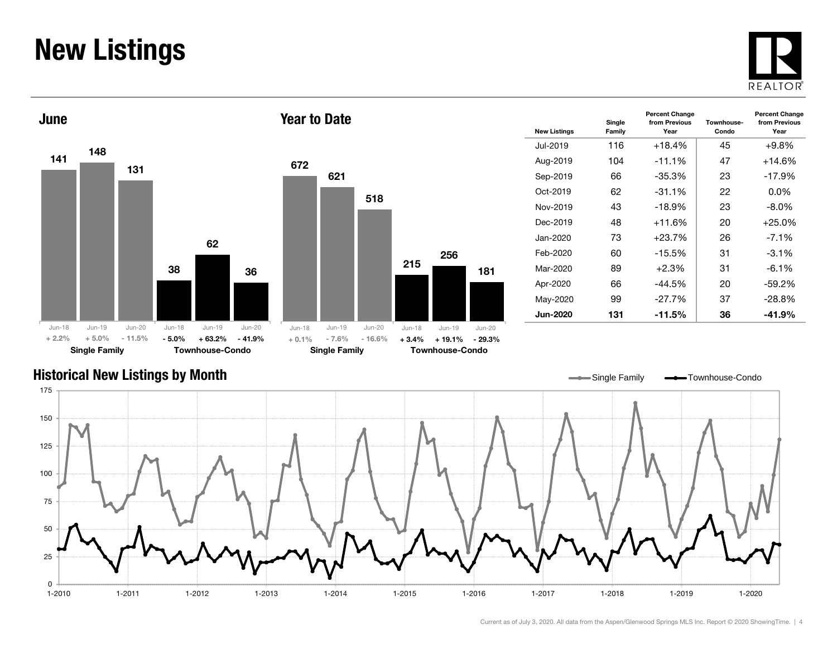# New Listings







| <b>New Listings</b> | Single<br>Family | <b>Percent Change</b><br>from Previous<br>Year | Townhouse-<br>Condo | <b>Percent Change</b><br>from Previous<br>Year |
|---------------------|------------------|------------------------------------------------|---------------------|------------------------------------------------|
| Jul-2019.           | 116              | $+18.4%$                                       | 45                  | $+9.8%$                                        |
| Aug-2019            | 104              | $-11.1%$                                       | 47                  | $+14.6%$                                       |
| Sep-2019            | 66               | $-35.3%$                                       | 23                  | $-17.9%$                                       |
| Oct-2019            | 62               | $-31.1%$                                       | 22                  | $0.0\%$                                        |
| Nov-2019            | 43               | $-18.9%$                                       | 23                  | $-8.0\%$                                       |
| Dec-2019            | 48               | $+11.6%$                                       | 20                  | $+25.0%$                                       |
| Jan-2020            | 73               | $+23.7%$                                       | 26                  | $-7.1\%$                                       |
| Feb-2020            | 60               | $-15.5%$                                       | 31                  | $-3.1\%$                                       |
| Mar-2020            | 89               | $+2.3\%$                                       | 31                  | $-6.1\%$                                       |
| Apr-2020            | 66               | $-44.5%$                                       | 20                  | $-59.2%$                                       |
| May-2020            | 99               | $-27.7%$                                       | 37                  | $-28.8%$                                       |
| Jun-2020            | 131              | $-11.5%$                                       | 36                  | $-41.9%$                                       |

### Historical New Listings by Month

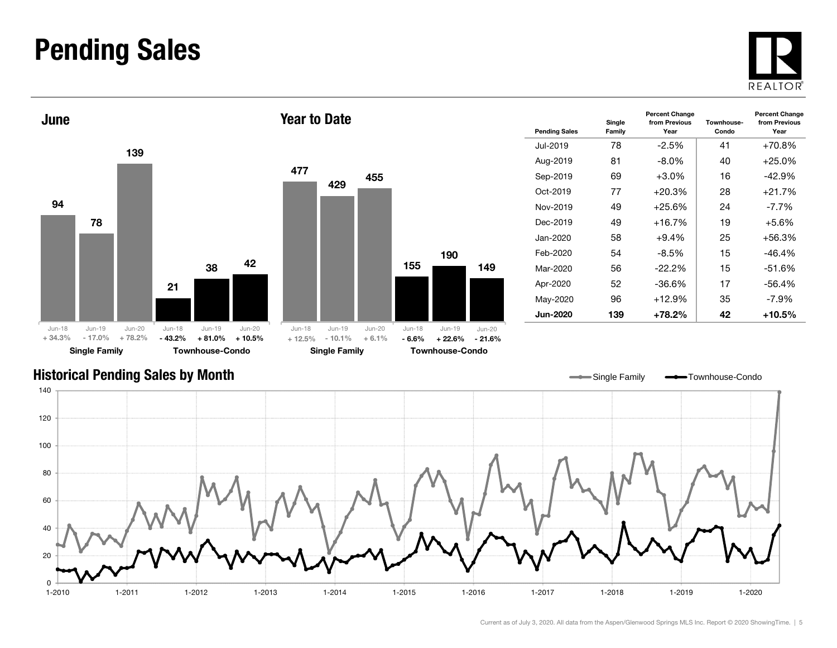### Pending Sales







| <b>Pending Sales</b> | Single<br>Family | <b>Percent Change</b><br>from Previous<br>Year | Townhouse-<br>Condo | <b>Percent Change</b><br>from Previous<br>Year |
|----------------------|------------------|------------------------------------------------|---------------------|------------------------------------------------|
| Jul-2019             | 78               | $-2.5%$                                        | 41                  | $+70.8%$                                       |
| Aug-2019             | 81               | $-8.0\%$                                       | 40                  | $+25.0%$                                       |
| Sep-2019             | 69               | $+3.0%$                                        | 16                  | $-42.9%$                                       |
| Oct-2019             | 77               | $+20.3%$                                       | 28                  | $+21.7%$                                       |
| Nov-2019             | 49               | $+25.6%$                                       | 24                  | $-7.7\%$                                       |
| Dec-2019             | 49               | $+16.7%$                                       | 19                  | $+5.6\%$                                       |
| Jan-2020             | 58               | $+9.4%$                                        | 25                  | $+56.3%$                                       |
| Feb-2020             | 54               | $-8.5%$                                        | 15                  | $-46.4%$                                       |
| Mar-2020             | 56               | $-22.2\%$                                      | 15                  | -51.6%                                         |
| Apr-2020             | 52               | $-36.6\%$                                      | 17                  | $-56.4%$                                       |
| May-2020             | 96               | $+12.9%$                                       | 35                  | -7.9%                                          |
| <b>Jun-2020</b>      | 139              | +78.2%                                         | 42                  | +10.5%                                         |

Single Family **-**Townhouse-Condo

#### Historical Pending Sales by Month

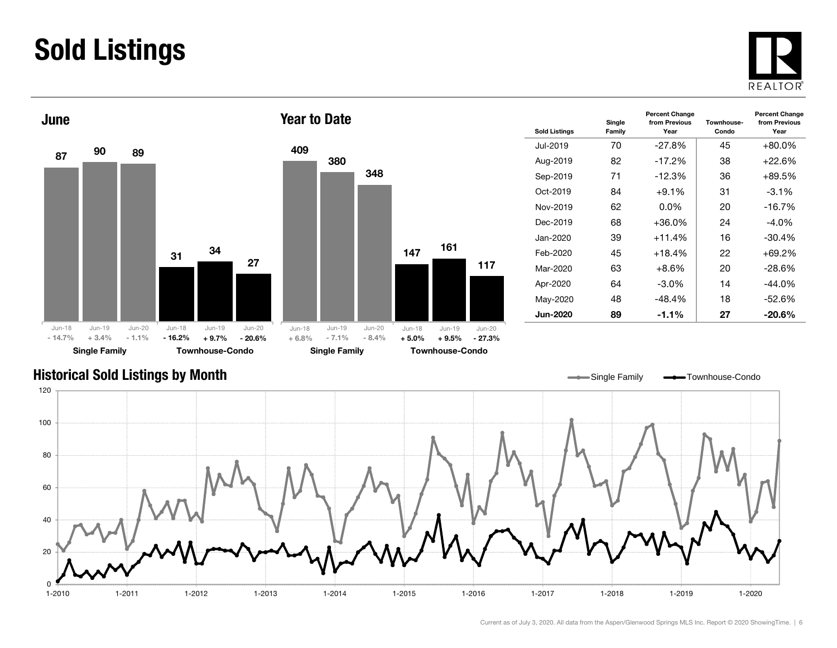# Sold Listings





| <b>Sold Listings</b> | Single<br>Family | <b>Percent Change</b><br>from Previous<br>Year | Townhouse-<br>Condo | <b>Percent Change</b><br>from Previous<br>Year |
|----------------------|------------------|------------------------------------------------|---------------------|------------------------------------------------|
| Jul-2019             | 70               | $-27.8%$                                       | 45                  | $+80.0%$                                       |
| Aug-2019             | 82               | $-17.2%$                                       | 38                  | $+22.6%$                                       |
| Sep-2019             | 71               | $-12.3\%$                                      | 36                  | $+89.5%$                                       |
| $Oct-2019$           | 84               | $+9.1%$                                        | 31                  | $-3.1\%$                                       |
| Nov-2019             | 62               | $0.0\%$                                        | 20                  | $-16.7%$                                       |
| Dec-2019             | 68               | $+36.0\%$                                      | 24                  | $-4.0\%$                                       |
| Jan-2020             | 39               | $+11.4%$                                       | 16                  | $-30.4%$                                       |
| Feb-2020             | 45               | $+18.4%$                                       | 22                  | +69.2%                                         |
| Mar-2020             | 63               | $+8.6%$                                        | 20                  | -28.6%                                         |
| Apr-2020             | 64               | -3.0%                                          | 14                  | $-44.0\%$                                      |
| May-2020             | 48               | -48.4%                                         | 18                  | $-52.6%$                                       |
| <b>Jun-2020</b>      | 89               | $-1.1\%$                                       | 27                  | -20.6%                                         |

### Historical Sold Listings by Month

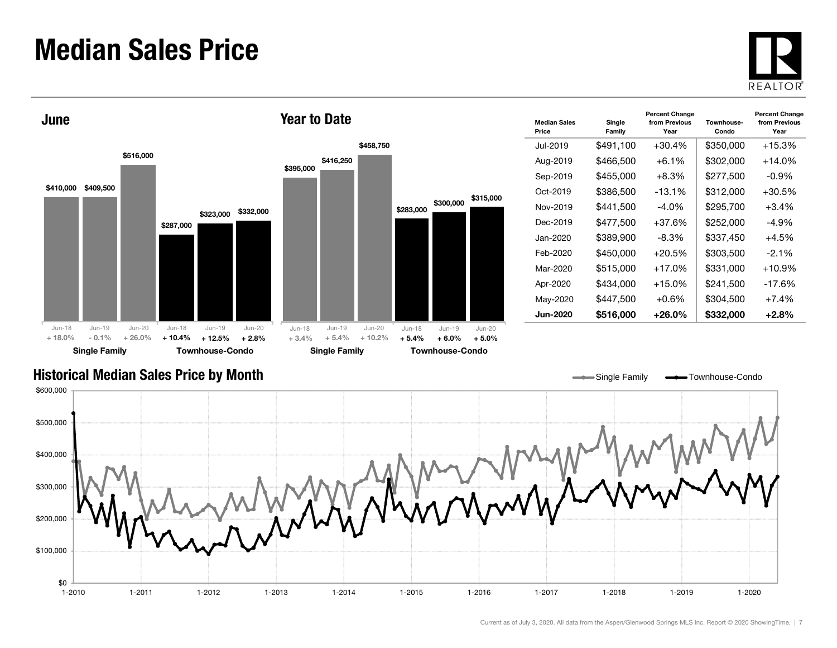### Median Sales Price





| <b>Median Sales</b><br>Price | Single<br>Family | <b>Percent Change</b><br>from Previous<br>Year | Townhouse-<br>Condo | <b>Percent Change</b><br>from Previous<br>Year |
|------------------------------|------------------|------------------------------------------------|---------------------|------------------------------------------------|
| Jul-2019                     | \$491,100        | $+30.4%$                                       | \$350,000           | $+15.3%$                                       |
| Aug-2019                     | \$466,500        | $+6.1%$                                        | \$302,000           | $+14.0\%$                                      |
| Sep-2019                     | \$455,000        | $+8.3%$                                        | \$277,500           | -0.9%                                          |
| $Oct-2019$                   | \$386,500        | $-13.1\%$                                      | \$312,000           | $+30.5%$                                       |
| Nov-2019                     | \$441,500        | $-4.0%$                                        | \$295,700           | $+3.4%$                                        |
| Dec-2019                     | \$477,500        | $+37.6%$                                       | \$252,000           | -4.9%                                          |
| Jan-2020                     | \$389,900        | -8.3%                                          | \$337,450           | $+4.5%$                                        |
| Feb-2020                     | \$450,000        | $+20.5%$                                       | \$303,500           | $-2.1%$                                        |
| Mar-2020                     | \$515,000        | $+17.0\%$                                      | \$331,000           | $+10.9%$                                       |
| Apr-2020                     | \$434,000        | $+15.0%$                                       | \$241,500           | $-17.6%$                                       |
| May-2020                     | \$447,500        | $+0.6%$                                        | \$304,500           | $+7.4%$                                        |
| <b>Jun-2020</b>              | \$516,000        | $+26.0\%$                                      | \$332,000           | $+2.8%$                                        |

Single Family  $\longrightarrow$ Townhouse-Condo

### Historical Median Sales Price by Month

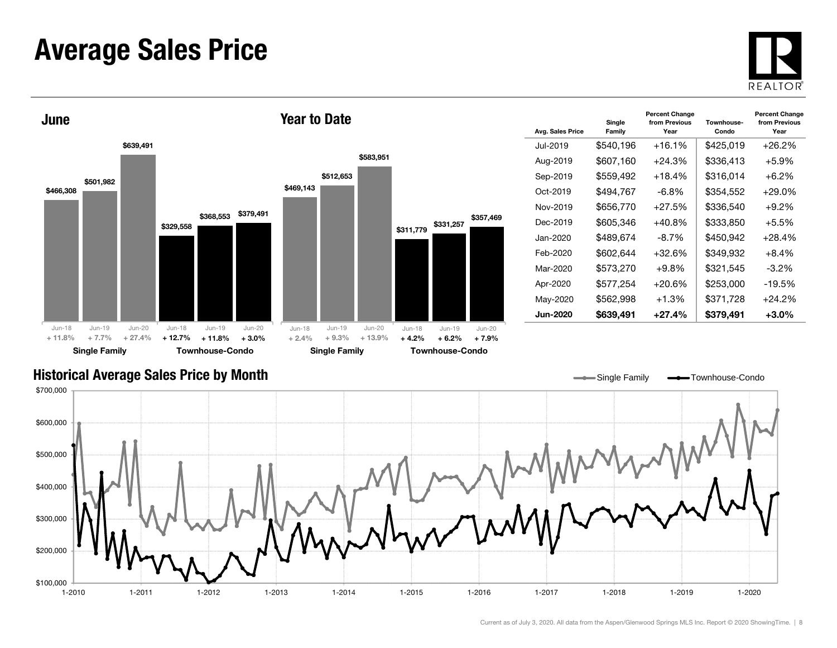### Average Sales Price





| Avg. Sales Price | Single<br>Family | <b>Percent Change</b><br>from Previous<br>Year | Townhouse-<br>Condo | <b>Percent Change</b><br>from Previous<br>Year |
|------------------|------------------|------------------------------------------------|---------------------|------------------------------------------------|
| Jul-2019.        | \$540,196        | $+16.1%$                                       | \$425,019           | $+26.2\%$                                      |
| Aug-2019         | \$607,160        | $+24.3%$                                       | \$336,413           | $+5.9%$                                        |
| Sep-2019         | \$559.492        | $+18.4%$                                       | \$316.014           | $+6.2\%$                                       |
| Oct-2019         | \$494,767        | -6.8%                                          | \$354,552           | +29.0%                                         |
| Nov-2019         | \$656,770        | $+27.5%$                                       | \$336,540           | $+9.2%$                                        |
| Dec-2019         | \$605,346        | $+40.8%$                                       | \$333,850           | $+5.5%$                                        |
| Jan-2020         | \$489.674        | $-8.7\%$                                       | \$450.942           | $+28.4%$                                       |
| Feb-2020         | \$602,644        | $+32.6%$                                       | \$349,932           | $+8.4%$                                        |
| Mar-2020         | \$573,270        | $+9.8\%$                                       | \$321,545           | -3.2%                                          |
| Apr-2020         | \$577,254        | $+20.6%$                                       | \$253,000           | $-19.5\%$                                      |
| May-2020         | \$562,998        | $+1.3%$                                        | \$371,728           | +24.2%                                         |
| Jun-2020         | \$639,491        | $+27.4%$                                       | \$379,491           | $+3.0\%$                                       |

Single Family **- Townhouse-Condo** 

 $\equiv$ 

#### Historical Average Sales Price by Month

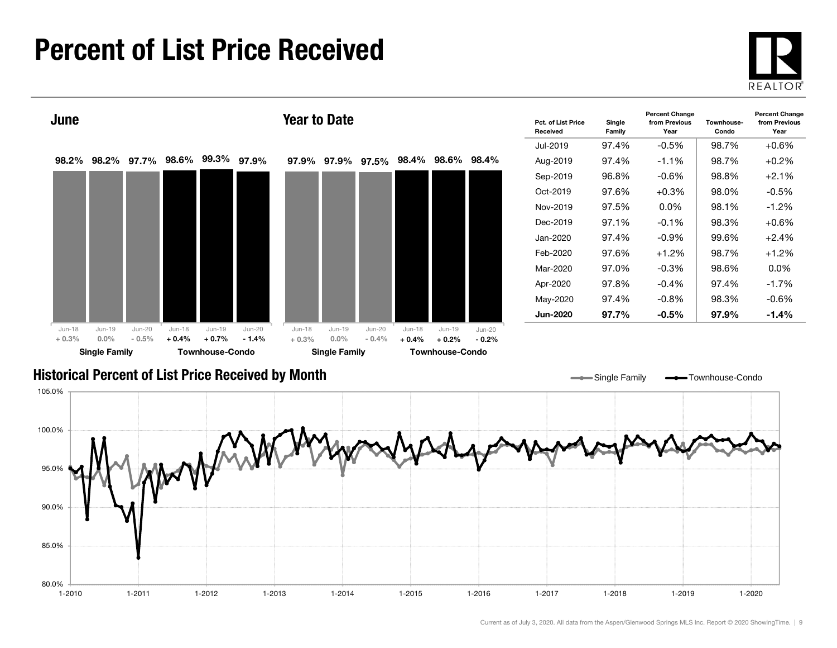# Percent of List Price Received









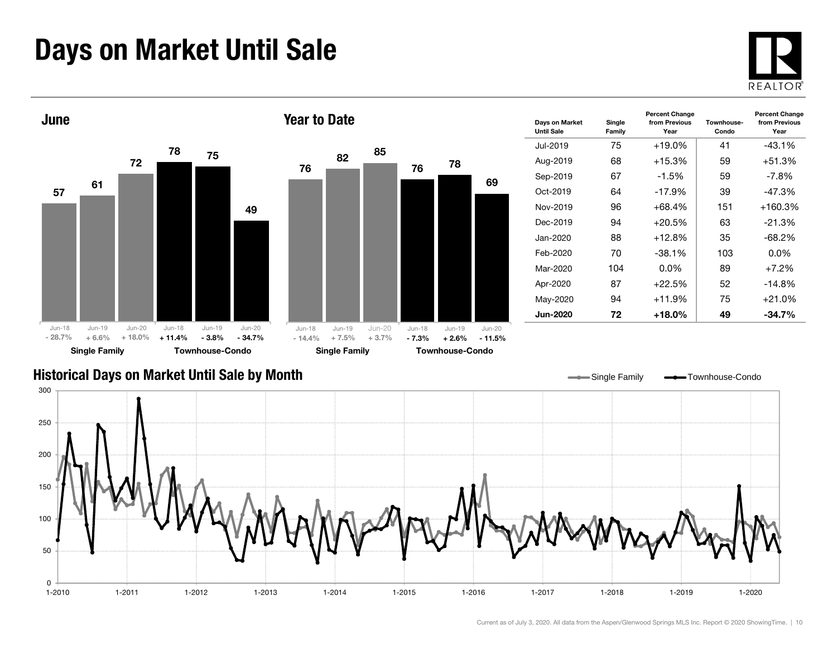# Days on Market Until Sale





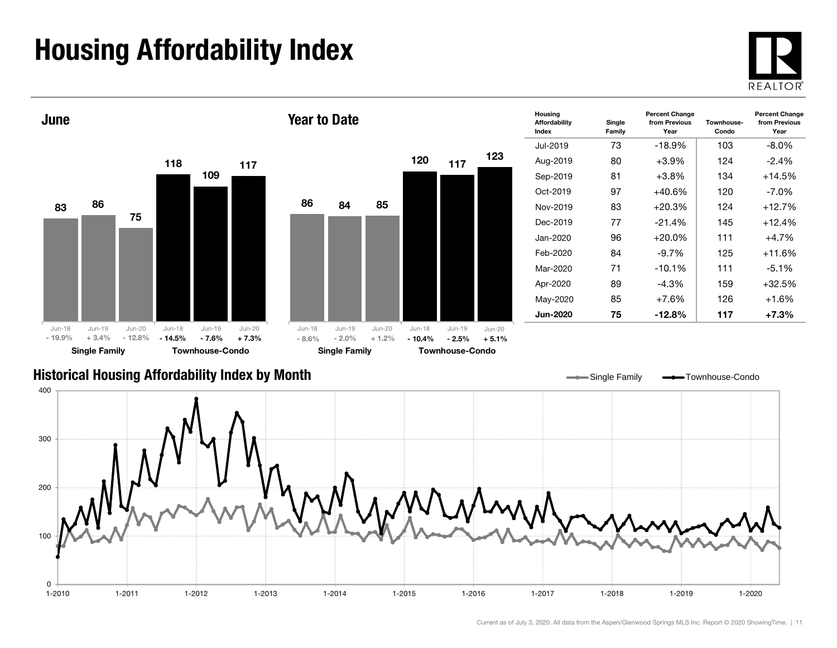# Housing Affordability Index



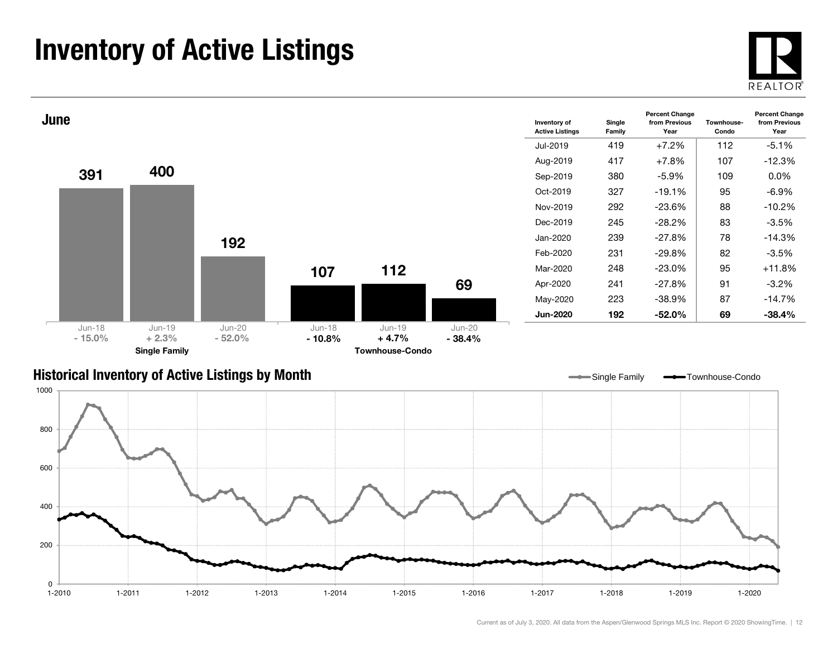# Inventory of Active Listings





#### Historical Inventory of Active Listings by Month

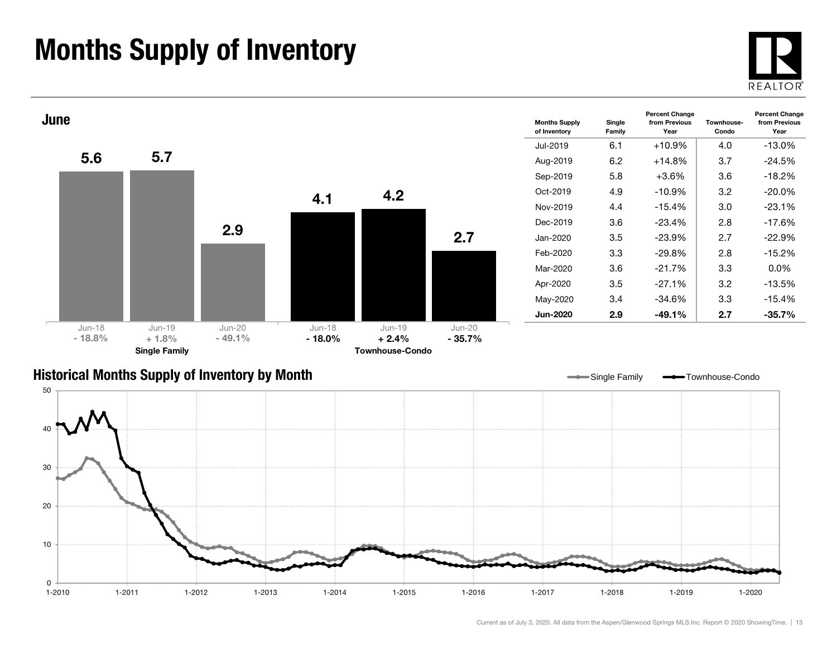# Months Supply of Inventory





### Historical Months Supply of Inventory by Month



Single Family **-**Townhouse-Condo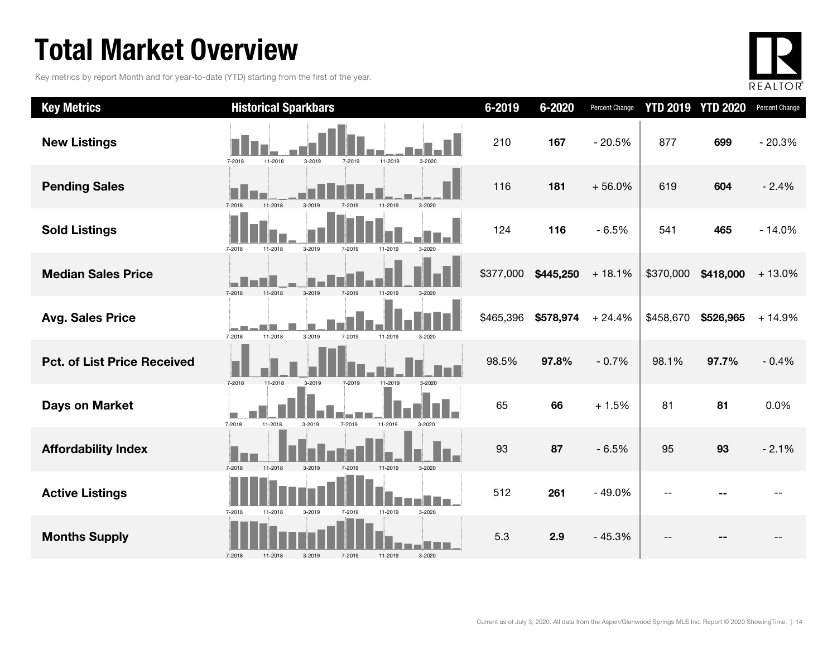# Total Market Overview

Key metrics by report Month and for year-to-date (YTD) starting from the first of the year.



| <b>Key Metrics</b>                 | <b>Historical Sparkbars</b>                                        | 6-2019    | $6 - 2020$ | Percent Change | <b>YTD 2019</b> | <b>YTD 2020</b> | Percent Change |
|------------------------------------|--------------------------------------------------------------------|-----------|------------|----------------|-----------------|-----------------|----------------|
| <b>New Listings</b>                | 11-2019<br>7-2018<br>11-2018<br>3-2019<br>7-2019<br>3-2020         | 210       | 167        | $-20.5%$       | 877             | 699             | $-20.3%$       |
| <b>Pending Sales</b>               | Г<br>7-2018<br>11-2018<br>$3 - 2019$<br>11-2019<br>3-2020          | 116       | 181        | $+56.0%$       | 619             | 604             | $-2.4%$        |
| <b>Sold Listings</b>               | 7-2018<br>11-2018<br>3-2019<br>7-2019<br>11-2019<br>3-2020         | 124       | 116        | $-6.5%$        | 541             | 465             | $-14.0%$       |
| <b>Median Sales Price</b>          | 7-2018<br>11-2018<br>$3 - 2019$<br>7-2019<br>11-2019<br>$3 - 2020$ | \$377,000 | \$445,250  | $+18.1%$       | \$370,000       | \$418,000       | $+13.0%$       |
| <b>Avg. Sales Price</b>            | 11-2018<br>7-2018<br>3-2019<br>11-2019<br>7-2019<br>3-2020         | \$465,396 | \$578,974  | $+24.4%$       | \$458,670       | \$526,965       | $+14.9%$       |
| <b>Pct. of List Price Received</b> | 7-2018<br>11-2018<br>$3 - 2019$<br>11-2019<br>7-2019               | 98.5%     | 97.8%      | $-0.7%$        | 98.1%           | 97.7%           | $-0.4%$        |
| <b>Days on Market</b>              | 11-2019<br>7-2018<br>11-2018<br>3-2019<br>7-2019<br>3-2020         | 65        | 66         | $+1.5%$        | 81              | 81              | 0.0%           |
| <b>Affordability Index</b>         | $3 - 2020$<br>7-2018<br>11-2018<br>$3 - 2019$<br>11-2019<br>7-2019 | 93        | 87         | $-6.5%$        | 95              | 93              | $-2.1%$        |
| <b>Active Listings</b>             | 3-2020<br>7-2018<br>3-2019<br>11-2019<br>11-2018<br>7-2019         | 512       | 261        | $-49.0%$       |                 |                 |                |
| <b>Months Supply</b>               | 3-2020<br>7-2018<br>3-2019<br>7-2019<br>11-2019<br>11-2018         | 5.3       | 2.9        | $-45.3%$       |                 |                 |                |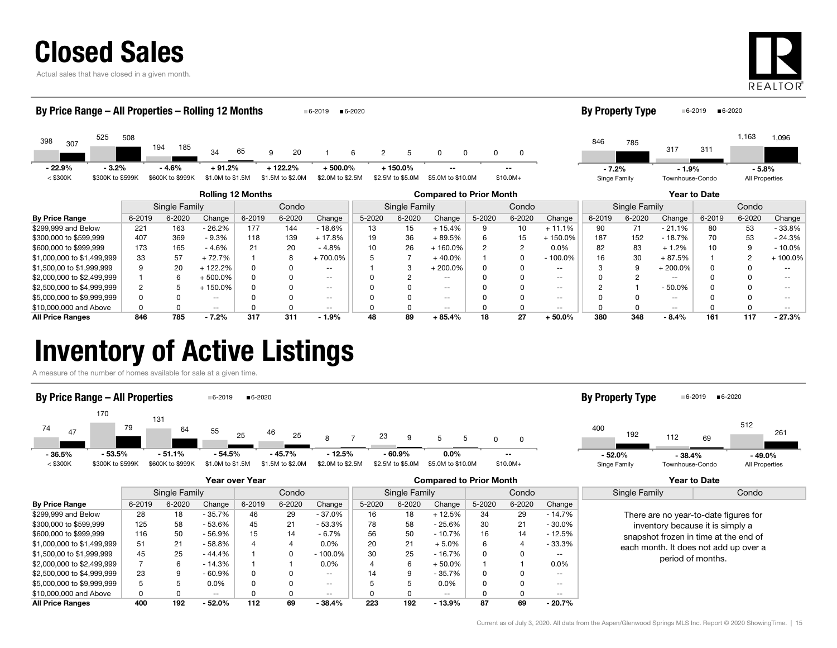

Actual sales that have closed in a given month.



|                                                                            | By Price Range - All Properties - Rolling 12 Months<br>$6 - 2020$<br>■6-2019 |                  |                          |        |                  |                  |        |                  |                          |        |           | <b>By Property Type</b> |              |               | $6 - 2020$<br>$-6 - 2019$ |        |                |          |
|----------------------------------------------------------------------------|------------------------------------------------------------------------------|------------------|--------------------------|--------|------------------|------------------|--------|------------------|--------------------------|--------|-----------|-------------------------|--------------|---------------|---------------------------|--------|----------------|----------|
| 525<br>398<br>307                                                          | 508                                                                          | 194<br>185       | 34                       | 65     | 20<br>9          |                  | 6<br>2 | 5                | $\Omega$<br>$\Omega$     | 0      | 0         |                         | 846          | 785           | 317                       | 311    | 1,163          | 1,096    |
| $-22.9%$<br>$-3.2%$                                                        |                                                                              | $-4.6%$          | $+91.2%$                 |        | + 122.2%         | $+500.0\%$       |        | $+150.0\%$       |                          |        |           |                         | $-7.2%$      |               | $-1.9%$                   |        | $-5.8%$        |          |
| $<$ \$300K<br>\$300K to \$599K                                             |                                                                              | \$600K to \$999K | \$1.0M to \$1.5M         |        | \$1.5M to \$2.0M | \$2.0M to \$2.5M |        | \$2.5M to \$5.0M | \$5.0M to \$10.0M        |        | $$10.0M+$ |                         | Singe Family |               | Townhouse-Condo           |        | All Properties |          |
| <b>Rolling 12 Months</b><br><b>Compared to Prior Month</b><br>Year to Date |                                                                              |                  |                          |        |                  |                  |        |                  |                          |        |           |                         |              |               |                           |        |                |          |
|                                                                            |                                                                              | Single Family    |                          |        | Condo            |                  |        | Single Family    |                          |        | Condo     |                         |              | Single Family |                           |        | Condo          |          |
| <b>By Price Range</b>                                                      | 6-2019                                                                       | 6-2020           | Change                   | 6-2019 | 6-2020           | Change           | 5-2020 | 6-2020           | Change                   | 5-2020 | 6-2020    | Change                  | 6-2019       | 6-2020        | Change                    | 6-2019 | 6-2020         | Change   |
| \$299,999 and Below                                                        | 221                                                                          | 163              | $-26.2%$                 | 177    | 144              | $-18.6%$         | 13     | 15               | $+15.4%$                 | 9      | 10        | $+11.1%$                | 90           | 71            | - 21.1%                   | 80     | 53             | $-33.8%$ |
| \$300,000 to \$599,999                                                     | 407                                                                          | 369              | $-9.3%$                  | 118    | 139              | $+17.8%$         | 19     | 36               | $+89.5%$                 | 6      | 15        | $+150.0%$               | 187          | 152           | - 18.7%                   | 70     | 53             | $-24.3%$ |
| \$600,000 to \$999,999                                                     | 173                                                                          | 165              | $-4.6%$                  | 21     | 20               | $-4.8%$          | 10     | 26               | $+160.0%$                |        | 2         | $0.0\%$                 | 82           | 83            | $+1.2%$                   | 10     | 9              | $-10.0%$ |
| \$1,000,000 to \$1,499,999                                                 | 33                                                                           | 57               | $+72.7%$                 |        | 8                | $+700.0%$        |        |                  | $+40.0%$                 |        |           | $-100.0%$               | 16           | 30            | $+87.5%$                  |        | 2              | + 100.0% |
| \$1,500,00 to \$1,999,999                                                  | 9                                                                            | 20               | + 122.2%                 |        | 0                | $- -$            |        | 3                | $+200.0%$                |        | 0         | $\sim$ $\sim$           |              | 9             | $+200.0\%$                | 0      | n              | --       |
| \$2,000,000 to \$2,499,999                                                 |                                                                              | 6                | $+500.0%$                |        |                  | $- -$            |        | $\overline{2}$   | $\overline{\phantom{a}}$ |        |           | $\sim$ $\sim$           |              | 2             | $\overline{\phantom{a}}$  | U      | 0              | --       |
| \$2,500,000 to \$4,999,999                                                 |                                                                              | 5                | $+150.0\%$               |        |                  | $- -$            |        |                  | $\overline{\phantom{a}}$ |        |           | $\sim$ $\sim$           |              |               | $-50.0\%$                 | U      |                | --       |
| \$5,000,000 to \$9,999,999                                                 |                                                                              |                  | $\overline{\phantom{m}}$ |        |                  | $- -$            |        |                  | $- -$                    |        |           | $\sim$ $\sim$           |              |               | --                        |        |                |          |

# Inventory of Active Listings

A measure of the number of homes available for sale at a given time.



10,000,000 and Above │ 0 0 0 -- │ 0 0 0 -- │ 0 0 0 -- │ 0 0 0 -- │ 0 0 0 -- │ 0 0 0 --<br>All Price Ranges 846 785 -7.2% 317 311 -1.9% 48 89 +85.4% 18 27 +50.0% 380 348 -8.4% 161 117 -27. All Price Ranges 846 785 - 7.2% 317 311 - 1.9% 48 89 + 85.4% 18 27 + 50.0% 380 348 - 8.4% 161 117 - 27.3%

|                            |               |        |               | Year over Year |        |            | <b>Compared to Prior Month</b> |               |               |          |        |                   | <b>Year to Date</b>                   |                                       |  |               |       |
|----------------------------|---------------|--------|---------------|----------------|--------|------------|--------------------------------|---------------|---------------|----------|--------|-------------------|---------------------------------------|---------------------------------------|--|---------------|-------|
|                            | Single Family |        |               | Condo          |        |            |                                | Single Family |               | Condo    |        |                   |                                       |                                       |  | Single Family | Condo |
| <b>By Price Range</b>      | 6-2019        | 6-2020 | Change        | 6-2019         | 6-2020 | Change     | 5-2020                         | 6-2020        | Change        | 5-2020   | 6-2020 | Change            |                                       |                                       |  |               |       |
| \$299,999 and Below        | 28            | 18     | - 35.7%       | 46             | 29     | $-37.0%$   | 16                             | 18            | $+12.5%$      | 34       | 29     | $-14.7%$          |                                       | There are no year-to-date figures for |  |               |       |
| \$300,000 to \$599,999     | 125           | 58     | $-53.6%$      | 45             | 21     | $-53.3%$   | 78                             | 58            | $-25.6%$      | 30       | 21     | $-30.0%$          |                                       | inventory because it is simply a      |  |               |       |
| \$600,000 to \$999,999     | 116           | 50     | - 56.9%       | 15             | 14     | $-6.7%$    | 56                             | 50            | $-10.7%$      | 16       | 14     | $-12.5%$          | snapshot frozen in time at the end of |                                       |  |               |       |
| \$1,000,000 to \$1,499,999 | 51            | 21     | - 58.8%       | 4              |        | 0.0%       | 20                             | 21            | $+5.0%$       | 6        |        | $-33.3%$          |                                       | each month. It does not add up over a |  |               |       |
| \$1,500,00 to \$1,999,999  | 45            | 25     | - 44.4%       |                |        | $-100.0\%$ | 30                             | 25            | - 16.7%       | $\Omega$ |        | $- -$             | period of months.                     |                                       |  |               |       |
| \$2,000,000 to \$2,499,999 |               | 6      | - 14.3%       |                |        | $0.0\%$    |                                | 6             | $+50.0\%$     |          |        | 0.0%              |                                       |                                       |  |               |       |
| \$2,500,000 to \$4,999,999 | 23            | 9      | - 60.9%       | 0              |        | $- -$      | 14                             | 9             | - 35.7%       | 0        |        | $- -$             |                                       |                                       |  |               |       |
| \$5,000,000 to \$9,999,999 | b.            |        | $0.0\%$       | 0              |        | $- -$      |                                | 5             | $0.0\%$       | $\Omega$ |        | $\qquad \qquad -$ |                                       |                                       |  |               |       |
| \$10,000,000 and Above     | $\Omega$      | 0      | $\sim$ $\sim$ |                |        | $- -$      |                                | 0             | $\sim$ $\sim$ |          |        | $- -$             |                                       |                                       |  |               |       |
| <b>All Price Ranges</b>    | 400           | 192    | $-52.0%$      | 112            | 69     | $-38.4%$   | 223                            | 192           | $-13.9\%$     | 87       | 69     | $-20.7%$          |                                       |                                       |  |               |       |